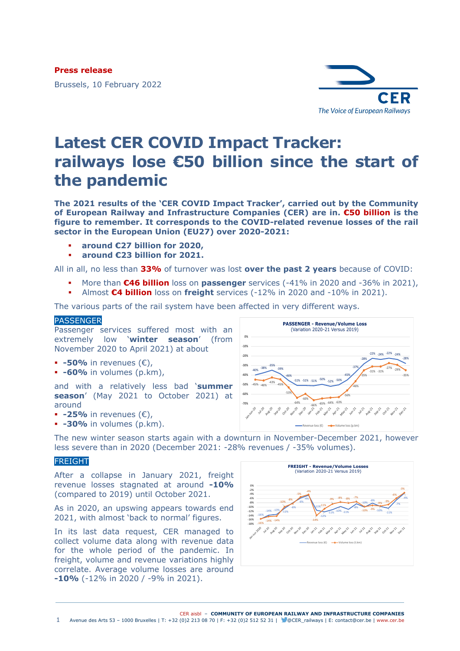**Press release**

Brussels, 10 February 2022



# **Latest CER COVID Impact Tracker: railways lose €50 billion since the start of the pandemic**

**The 2021 results of the 'CER COVID Impact Tracker', carried out by the Community of European Railway and Infrastructure Companies (CER) are in. €50 billion is the figure to remember. It corresponds to the COVID-related revenue losses of the rail sector in the European Union (EU27) over 2020-2021:**

- **around €27 billion for 2020,**
- **around €23 billion for 2021.**

All in all, no less than **33%** of turnover was lost **over the past 2 years** because of COVID:

- More than **€46 billion** loss on **passenger** services (-41% in 2020 and -36% in 2021),
- Almost **€4 billion** loss on **freight** services (-12% in 2020 and -10% in 2021).

The various parts of the rail system have been affected in very different ways.

### PASSENGER

Passenger services suffered most with an extremely low '**winter season**' (from November 2020 to April 2021) at about

- **-50%** in revenues (€),
- **-60%** in volumes (p.km),

and with a relatively less bad '**summer season**' (May 2021 to October 2021) at around

- **-25%** in revenues (€),
- **-30%** in volumes (p.km).



The new winter season starts again with a downturn in November-December 2021, however less severe than in 2020 (December 2021: -28% revenues / -35% volumes).

## FREIGHT

After a collapse in January 2021, freight revenue losses stagnated at around **-10%** (compared to 2019) until October 2021.

As in 2020, an upswing appears towards end 2021, with almost 'back to normal' figures.

In its last data request, CER managed to collect volume data along with revenue data for the whole period of the pandemic. In freight, volume and revenue variations highly correlate. Average volume losses are around **-10%** (-12% in 2020 / -9% in 2021).